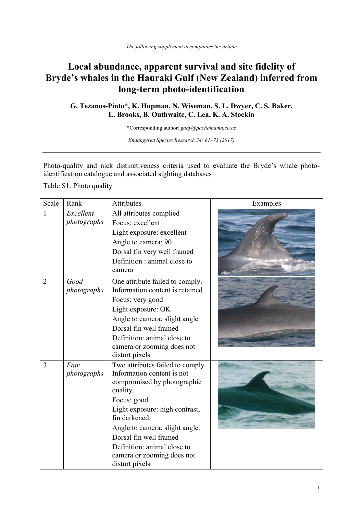## **Local abundance, apparent survival and site fidelity of Bryde's whales in the Hauraki Gulf (New Zealand) inferred from long-term photo-identification**

## **G. Tezanos-Pinto**\***, K. Hupman, N. Wiseman, S. L. Dwyer, C. S. Baker, L. Brooks, B. Outhwaite, C. Lea, K. A. Stockin**

\*Corresponding author: *gaby@pachamama.co.nz*

*Endangered Species Research 34: 61–73 (2017)*

Photo-quality and nick distinctiveness criteria used to evaluate the Bryde's whale photoidentification catalogue and associated sighting databases

Table S1. Photo quality

| Scale          | Rank                | Attributes                                                         | Examples |
|----------------|---------------------|--------------------------------------------------------------------|----------|
| $\mathbf{1}$   | Excellent           | All attributes complied                                            |          |
|                | photographs         | Focus: excellent                                                   |          |
|                |                     | Light exposure: excellent                                          |          |
|                |                     | Angle to camera: 90                                                |          |
|                |                     | Dorsal fin very well framed                                        |          |
|                |                     | Definition : animal close to                                       |          |
|                |                     | camera                                                             |          |
| $\overline{2}$ | Good<br>photographs | One attribute failed to comply.<br>Information content is retained |          |
|                |                     | Focus: very good                                                   |          |
|                |                     | Light exposure: OK                                                 |          |
|                |                     | Angle to camera: slight angle                                      |          |
|                |                     | Dorsal fin well framed                                             |          |
|                |                     | Definition: animal close to                                        |          |
|                |                     | camera or zooming does not                                         |          |
|                |                     | distort pixels                                                     |          |
| 3              | Fair                | Two attributes failed to comply.                                   |          |
|                | photographs         | Information content is not                                         |          |
|                |                     | compromised by photographic<br>quality.                            |          |
|                |                     | Focus: good.                                                       |          |
|                |                     | Light exposure: high contrast,                                     |          |
|                |                     | fin darkened.                                                      |          |
|                |                     | Angle to camera: slight angle.                                     |          |
|                |                     | Dorsal fin well framed                                             |          |
|                |                     | Definition: animal close to                                        |          |
|                |                     | camera or zooming does not                                         |          |
|                |                     | distort pixels                                                     |          |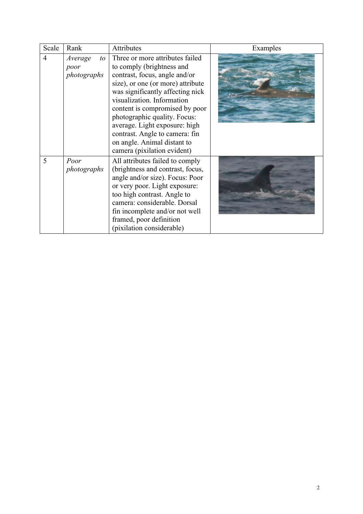| Scale          | Rank                                 | Attributes                                                                                                                                                                                                                                                                                                                                                                                              | Examples |
|----------------|--------------------------------------|---------------------------------------------------------------------------------------------------------------------------------------------------------------------------------------------------------------------------------------------------------------------------------------------------------------------------------------------------------------------------------------------------------|----------|
| $\overline{4}$ | Average<br>to<br>poor<br>photographs | Three or more attributes failed<br>to comply (brightness and<br>contrast, focus, angle and/or<br>size), or one (or more) attribute<br>was significantly affecting nick<br>visualization. Information<br>content is compromised by poor<br>photographic quality. Focus:<br>average. Light exposure: high<br>contrast. Angle to camera: fin<br>on angle. Animal distant to<br>camera (pixilation evident) |          |
| 5              | Poor<br>photographs                  | All attributes failed to comply<br>(brightness and contrast, focus,<br>angle and/or size). Focus: Poor<br>or very poor. Light exposure:<br>too high contrast. Angle to<br>camera: considerable. Dorsal<br>fin incomplete and/or not well<br>framed, poor definition<br>(pixilation considerable)                                                                                                        |          |